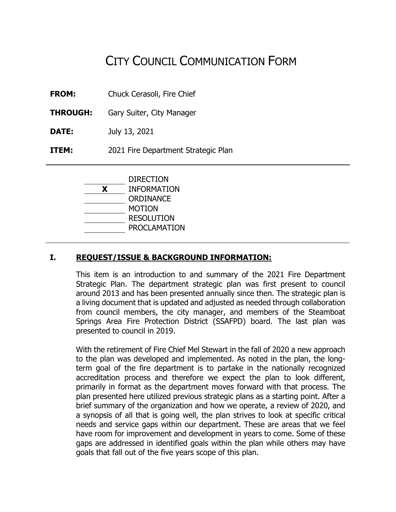# CITY COUNCIL COMMUNICATION FORM

- **FROM:** Chuck Cerasoli, Fire Chief
- **THROUGH:** Gary Suiter, City Manager
- **DATE:** July 13, 2021
- **ITEM:** 2021 Fire Department Strategic Plan

|   | <b>DIRECTION</b>    |
|---|---------------------|
| X | <b>INFORMATION</b>  |
|   | <b>ORDINANCE</b>    |
|   | MOTION              |
|   | <b>RESOLUTION</b>   |
|   | <b>PROCLAMATION</b> |
|   |                     |

# **I. REQUEST/ISSUE & BACKGROUND INFORMATION:**

This item is an introduction to and summary of the 2021 Fire Department Strategic Plan. The department strategic plan was first present to council around 2013 and has been presented annually since then. The strategic plan is a living document that is updated and adjusted as needed through collaboration from council members, the city manager, and members of the Steamboat Springs Area Fire Protection District (SSAFPD) board. The last plan was presented to council in 2019.

With the retirement of Fire Chief Mel Stewart in the fall of 2020 a new approach to the plan was developed and implemented. As noted in the plan, the longterm goal of the fire department is to partake in the nationally recognized accreditation process and therefore we expect the plan to look different, primarily in format as the department moves forward with that process. The plan presented here utilized previous strategic plans as a starting point. After a brief summary of the organization and how we operate, a review of 2020, and a synopsis of all that is going well, the plan strives to look at specific critical needs and service gaps within our department. These are areas that we feel have room for improvement and development in years to come. Some of these gaps are addressed in identified goals within the plan while others may have goals that fall out of the five years scope of this plan.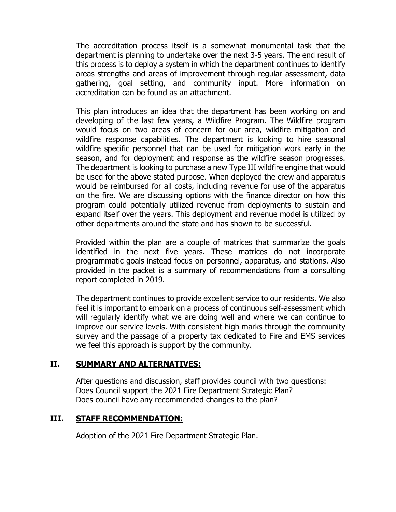The accreditation process itself is a somewhat monumental task that the department is planning to undertake over the next 3-5 years. The end result of this process is to deploy a system in which the department continues to identify areas strengths and areas of improvement through regular assessment, data gathering, goal setting, and community input. More information on accreditation can be found as an attachment.

This plan introduces an idea that the department has been working on and developing of the last few years, a Wildfire Program. The Wildfire program would focus on two areas of concern for our area, wildfire mitigation and wildfire response capabilities. The department is looking to hire seasonal wildfire specific personnel that can be used for mitigation work early in the season, and for deployment and response as the wildfire season progresses. The department is looking to purchase a new Type III wildfire engine that would be used for the above stated purpose. When deployed the crew and apparatus would be reimbursed for all costs, including revenue for use of the apparatus on the fire. We are discussing options with the finance director on how this program could potentially utilized revenue from deployments to sustain and expand itself over the years. This deployment and revenue model is utilized by other departments around the state and has shown to be successful.

Provided within the plan are a couple of matrices that summarize the goals identified in the next five years. These matrices do not incorporate programmatic goals instead focus on personnel, apparatus, and stations. Also provided in the packet is a summary of recommendations from a consulting report completed in 2019.

The department continues to provide excellent service to our residents. We also feel it is important to embark on a process of continuous self-assessment which will regularly identify what we are doing well and where we can continue to improve our service levels. With consistent high marks through the community survey and the passage of a property tax dedicated to Fire and EMS services we feel this approach is support by the community.

# **II. SUMMARY AND ALTERNATIVES:**

After questions and discussion, staff provides council with two questions: Does Council support the 2021 Fire Department Strategic Plan? Does council have any recommended changes to the plan?

# **III. STAFF RECOMMENDATION:**

Adoption of the 2021 Fire Department Strategic Plan.